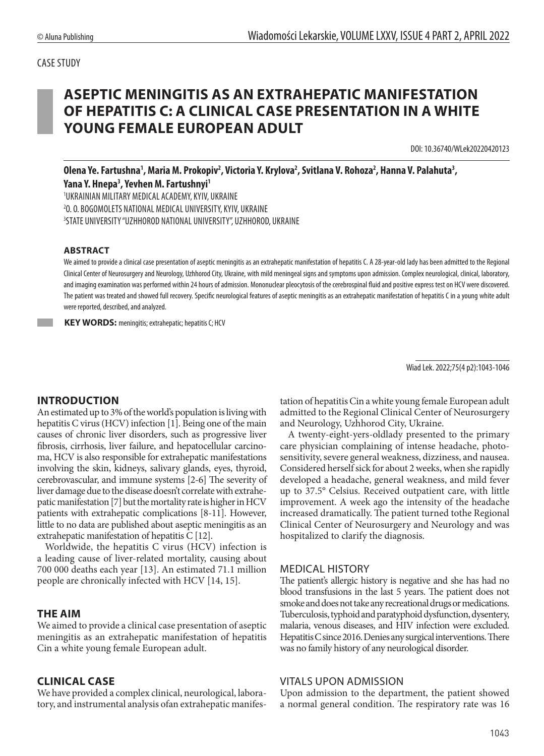# **ASEPTIC MENINGITIS AS AN EXTRAHEPATIC MANIFESTATION OF HEPATITIS C: A CLINICAL CASE PRESENTATION IN A WHITE YOUNG FEMALE EUROPEAN ADULT**

DOI: 10.36740/WLek20220420123

Olena Ye. Fartushna<sup>1</sup>, Maria M. Prokopiv<sup>2</sup>, Victoria Y. Krylova<sup>2</sup>, Svitlana V. Rohoza<sup>2</sup>, Hanna V. Palahuta<sup>3</sup>, **Yana Y. Hnepa3 , Yevhen M. Fartushnyi1**

1 UKRAINIAN MILITARY MEDICAL ACADEMY, KYIV, UKRAINE 2 O. O. BOGOMOLETS NATIONAL MEDICAL UNIVERSITY, KYIV, UKRAINE 3 STATE UNIVERSITY "UZHHOROD NATIONAL UNIVERSITY", UZHHOROD, UKRAINE

#### **ABSTRACT**

We aimed to provide a clinical case presentation of aseptic meningitis as an extrahepatic manifestation of hepatitis C. A 28-year-old lady has been admitted to the Regional Clinical Center of Neurosurgery and Neurology, Uzhhorod City, Ukraine, with mild meningeal signs and symptoms upon admission. Complex neurological, clinical, laboratory, and imaging examination was performed within 24 hours of admission. Mononuclear pleocytosis of the cerebrospinal fluid and positive express test on HCV were discovered. The patient was treated and showed full recovery. Specific neurological features of aseptic meningitis as an extrahepatic manifestation of hepatitis C in a young white adult were reported, described, and analyzed.

**KEY WORDS:** meningitis; extrahepatic; hepatitis C; HCV

Wiad Lek. 2022;75(4 p2):1043-1046

#### **INTRODUCTION**

An estimated up to 3% of the world's population is living with hepatitis C virus (HCV) infection [1]. Being one of the main causes of chronic liver disorders, such as progressive liver fibrosis, cirrhosis, liver failure, and hepatocellular carcinoma, HCV is also responsible for extrahepatic manifestations involving the skin, kidneys, salivary glands, eyes, thyroid, cerebrovascular, and immune systems [2-6] The severity of liver damage due to the disease doesn't correlate with extrahepatic manifestation [7] but the mortality rate is higher in HCV patients with extrahepatic complications [8-11]. However, little to no data are published about aseptic meningitis as an extrahepatic manifestation of hepatitis C [12].

Worldwide, the hepatitis C virus (HCV) infection is a leading cause of liver-related mortality, causing about 700 000 deaths each year [13]. An estimated 71.1 million people are chronically infected with HCV [14, 15].

#### **THE AIM**

We aimed to provide a clinical case presentation of aseptic meningitis as an extrahepatic manifestation of hepatitis Cin a white young female European adult.

#### **CLINICAL CASE**

We have provided a complex clinical, neurological, laboratory, and instrumental analysis ofan extrahepatic manifestation of hepatitis Cin a white young female European adult admitted to the Regional Clinical Center of Neurosurgery and Neurology, Uzhhorod City, Ukraine.

A twenty-eight-yers-oldlady presented to the primary care physician complaining of intense headache, photosensitivity, severe general weakness, dizziness, and nausea. Considered herself sick for about 2 weeks, when she rapidly developed a headache, general weakness, and mild fever up to 37.5° Celsius. Received outpatient care, with little improvement. A week ago the intensity of the headache increased dramatically. The patient turned tothe Regional Clinical Center of Neurosurgery and Neurology and was hospitalized to clarify the diagnosis.

#### MEDICAL HISTORY

The patient's allergic history is negative and she has had no blood transfusions in the last 5 years. The patient does not smoke and does not take any recreational drugs or medications. Tuberculosis, typhoid and paratyphoid dysfunction, dysentery, malaria, venous diseases, and HIV infection were excluded. Hepatitis C since 2016. Denies any surgical interventions. There was no family history of any neurological disorder.

#### VITALS UPON ADMISSION

Upon admission to the department, the patient showed a normal general condition. The respiratory rate was 16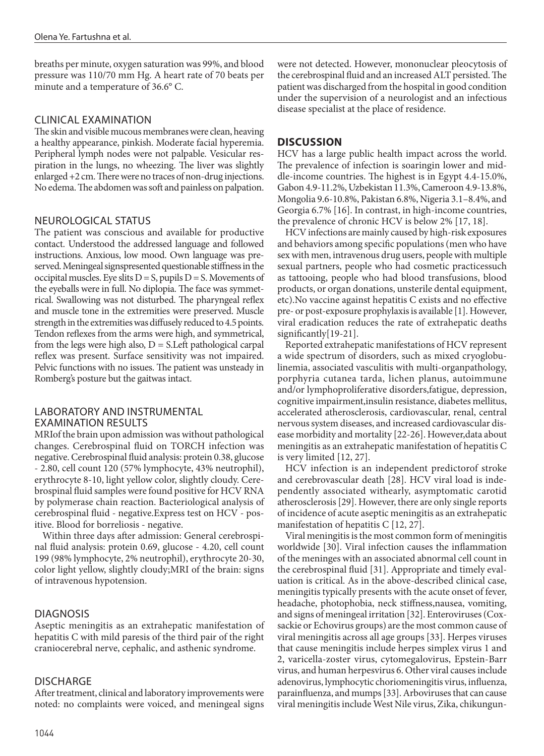breaths per minute, oxygen saturation was 99%, and blood pressure was 110/70 mm Hg. A heart rate of 70 beats per minute and a temperature of 36.6° C.

#### CLINICAL EXAMINATION

The skin and visible mucous membranes were clean, heaving a healthy appearance, pinkish. Moderate facial hyperemia. Peripheral lymph nodes were not palpable. Vesicular respiration in the lungs, no wheezing. The liver was slightly enlarged +2 cm. There were no traces of non-drug injections. No edema. The abdomen was soft and painless on palpation.

## NEUROLOGICAL STATUS

The patient was conscious and available for productive contact. Understood the addressed language and followed instructions. Anxious, low mood. Own language was preserved. Meningeal signspresented questionable stiffness in the occipital muscles. Eye slits  $D = S$ , pupils  $D = S$ . Movements of the eyeballs were in full. No diplopia. The face was symmetrical. Swallowing was not disturbed. The pharyngeal reflex and muscle tone in the extremities were preserved. Muscle strength in the extremities was diffusely reduced to 4.5 points. Tendon reflexes from the arms were high, and symmetrical, from the legs were high also,  $D = S$ . Left pathological carpal reflex was present. Surface sensitivity was not impaired. Pelvic functions with no issues. The patient was unsteady in Romberg's posture but the gaitwas intact.

## LABORATORY AND INSTRUMENTAL EXAMINATION RESULTS

MRIof the brain upon admission was without pathological changes. Cerebrospinal fluid on TORCH infection was negative. Cerebrospinal fluid analysis: protein 0.38, glucose - 2.80, cell count 120 (57% lymphocyte, 43% neutrophil), erythrocyte 8-10, light yellow color, slightly cloudy. Cerebrospinal fluid samples were found positive for HCV RNA by polymerase chain reaction. Bacteriological analysis of cerebrospinal fluid - negative.Express test on HCV - positive. Blood for borreliosis - negative.

Within three days after admission: General cerebrospinal fluid analysis: protein 0.69, glucose - 4.20, cell count 199 (98% lymphocyte, 2% neutrophil), erythrocyte 20-30, color light yellow, slightly cloudy;MRI of the brain: signs of intravenous hypotension.

# DIAGNOSIS

Aseptic meningitis as an extrahepatic manifestation of hepatitis C with mild paresis of the third pair of the right craniocerebral nerve, cephalic, and asthenic syndrome.

#### **DISCHARGE**

After treatment, clinical and laboratory improvements were noted: no complaints were voiced, and meningeal signs were not detected. However, mononuclear pleocytosis of the cerebrospinal fluid and an increased ALT persisted. The patient was discharged from the hospital in good condition under the supervision of a neurologist and an infectious disease specialist at the place of residence.

# **DISCUSSION**

HCV has a large public health impact across the world. The prevalence of infection is soaringin lower and middle-income countries. The highest is in Egypt 4.4-15.0%, Gabon 4.9-11.2%, Uzbekistan 11.3%, Cameroon 4.9-13.8%, Mongolia 9.6-10.8%, Pakistan 6.8%, Nigeria 3.1–8.4%, and Georgia 6.7% [16]. In contrast, in high-income countries, the prevalence of chronic HCV is below 2% [17, 18].

HCV infections are mainly caused by high-risk exposures and behaviors among specific populations (men who have sex with men, intravenous drug users, people with multiple sexual partners, people who had cosmetic practicessuch as tattooing, people who had blood transfusions, blood products, or organ donations, unsterile dental equipment, etc).No vaccine against hepatitis C exists and no effective pre- or post-exposure prophylaxis is available [1]. However, viral eradication reduces the rate of extrahepatic deaths significantly[19-21].

Reported extrahepatic manifestations of HCV represent a wide spectrum of disorders, such as mixed cryoglobulinemia, associated vasculitis with multi-organpathology, porphyria cutanea tarda, lichen planus, autoimmune and/or lymphoproliferative disorders,fatigue, depression, cognitive impairment,insulin resistance, diabetes mellitus, accelerated atherosclerosis, cardiovascular, renal, central nervous system diseases, and increased cardiovascular disease morbidity and mortality [22-26]. However,data about meningitis as an extrahepatic manifestation of hepatitis C is very limited [12, 27].

HCV infection is an independent predictorof stroke and cerebrovascular death [28]. HCV viral load is independently associated withearly, asymptomatic carotid atherosclerosis [29]. However, there are only single reports of incidence of acute aseptic meningitis as an extrahepatic manifestation of hepatitis C [12, 27].

Viral meningitis is the most common form of meningitis worldwide [30]. Viral infection causes the inflammation of the meninges with an associated abnormal cell count in the cerebrospinal fluid [31]. Appropriate and timely evaluation is critical. As in the above-described clinical case, meningitis typically presents with the acute onset of fever, headache, photophobia, neck stiffness,nausea, vomiting, and signs of meningeal irritation [32]. Enteroviruses (Coxsackie or Echovirus groups) are the most common cause of viral meningitis across all age groups [33]. Herpes viruses that cause meningitis include herpes simplex virus 1 and 2, varicella-zoster virus, cytomegalovirus, Epstein-Barr virus, and human herpesvirus 6. Other viral causes include adenovirus, lymphocytic choriomeningitis virus, influenza, parainfluenza, and mumps [33]. Arboviruses that can cause viral meningitis include West Nile virus, Zika, chikungun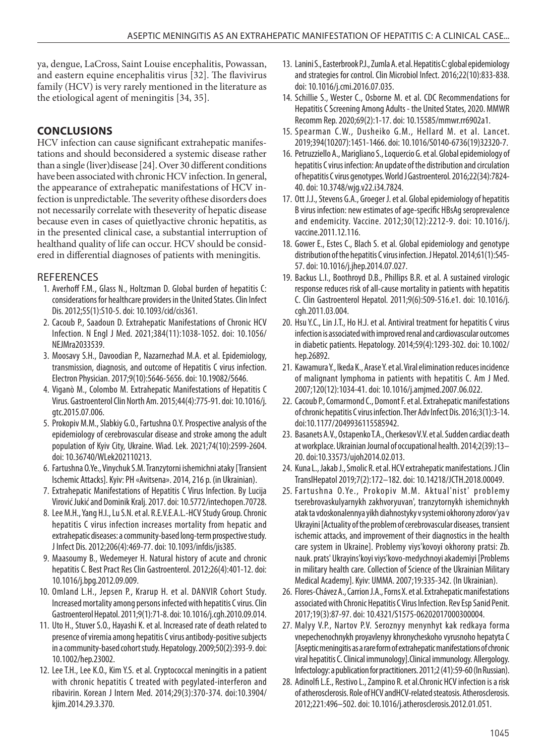ya, dengue, LaCross, Saint Louise encephalitis, Powassan, and eastern equine encephalitis virus [32]. The flavivirus family (HCV) is very rarely mentioned in the literature as the etiological agent of meningitis [34, 35].

# **CONCLUSIONS**

HCV infection can cause significant extrahepatic manifestations and should beconsidered a systemic disease rather than a single (liver)disease [24]. Over 30 different conditions have been associated with chronic HCV infection. In general, the appearance of extrahepatic manifestations of HCV infection is unpredictable. The severity ofthese disorders does not necessarily correlate with theseverity of hepatic disease because even in cases of quietlyactive chronic hepatitis, as in the presented clinical case, a substantial interruption of healthand quality of life can occur. HCV should be considered in differential diagnoses of patients with meningitis.

# **REFERENCES**

- 1. Averhoff F.M., Glass N., Holtzman D. Global burden of hepatitis C: considerations for healthcare providers in the United States. Clin Infect Dis. 2012;55(1):S10-5. doi: 10.1093/cid/cis361.
- 2. Cacoub P., Saadoun D. Extrahepatic Manifestations of Chronic HCV Infection. N Engl J Med. 2021;384(11):1038-1052. doi: 10.1056/ NEJMra2033539.
- 3. Moosavy S.H., Davoodian P., Nazarnezhad M.A. et al. Epidemiology, transmission, diagnosis, and outcome of Hepatitis C virus infection. Electron Physician. 2017;9(10):5646-5656. doi: 10.19082/5646.
- 4. Viganò M., Colombo M. Extrahepatic Manifestations of Hepatitis C Virus. Gastroenterol Clin North Am. 2015;44(4):775-91. doi: 10.1016/j. gtc.2015.07.006.
- 5. Prokopiv M.M., Slabkiy G.O., Fartushna O.Y. Prospective analysis of the epidemiology of cerebrovascular disease and stroke among the adult population of Kyiv City, Ukraine. Wiad. Lek. 2021;74(10):2599-2604. doi: 10.36740/WLek202110213.
- 6. Fartushna O.Ye., Vinychuk S.M. Tranzytorni ishemichni ataky [Transient Ischemic Attacks]. Kyiv: PH «Avitsena». 2014, 216 p. (in Ukrainian).
- 7. Extrahepatic Manifestations of Hepatitis C Virus Infection. By Lucija Virović Jukić and Dominik Kralj. 2017. doi: 10.5772/intechopen.70728.
- 8. Lee M.H., Yang H.I., Lu S.N. et al. R.E.V.E.A.L.-HCV Study Group. Chronic hepatitis C virus infection increases mortality from hepatic and extrahepatic diseases: a community-based long-term prospective study. J Infect Dis. 2012;206(4):469-77. doi: 10.1093/infdis/jis385.
- 9. Maasoumy B., Wedemeyer H. Natural history of acute and chronic hepatitis C. Best Pract Res Clin Gastroenterol. 2012;26(4):401-12. doi: 10.1016/j.bpg.2012.09.009.
- 10. Omland L.H., Jepsen P., Krarup H. et al. DANVIR Cohort Study. Increased mortality among persons infected with hepatitis C virus. Clin Gastroenterol Hepatol. 2011;9(1):71-8. doi: 10.1016/j.cgh.2010.09.014.
- 11. Uto H., Stuver S.O., Hayashi K. et al. Increased rate of death related to presence of viremia among hepatitis C virus antibody-positive subjects in a community-based cohort study. Hepatology. 2009;50(2):393-9. doi: 10.1002/hep.23002.
- 12. Lee T.H., Lee K.O., Kim Y.S. et al. Cryptococcal meningitis in a patient with chronic hepatitis C treated with pegylated-interferon and ribavirin. Korean J Intern Med. 2014;29(3):370-374. doi:10.3904/ kjim.2014.29.3.370.
- 13. Lanini S., Easterbrook P.J., Zumla A. et al. Hepatitis C: global epidemiology and strategies for control. Clin Microbiol Infect. 2016;22(10):833-838. doi: 10.1016/j.cmi.2016.07.035.
- 14. Schillie S., Wester C., Osborne M. et al. CDC Recommendations for Hepatitis C Screening Among Adults - the United States, 2020. MMWR Recomm Rep. 2020;69(2):1-17. doi: 10.15585/mmwr.rr6902a1.
- 15. Spearman C.W., Dusheiko G.M., Hellard M. et al. Lancet. 2019;394(10207):1451-1466. doi: 10.1016/S0140-6736(19)32320-7.
- 16. Petruzziello A., Marigliano S., Loquercio G. et al. Global epidemiology of hepatitis C virus infection: An update of the distribution and circulation of hepatitis C virus genotypes. World J Gastroenterol. 2016;22(34):7824- 40. doi: 10.3748/wjg.v22.i34.7824.
- 17. Ott J.J., Stevens G.A., Groeger J. et al. Global epidemiology of hepatitis B virus infection: new estimates of age-specific HBsAg seroprevalence and endemicity. Vaccine. 2012;30(12):2212-9. doi: 10.1016/j. vaccine.2011.12.116.
- 18. Gower E., Estes C., Blach S. et al. Global epidemiology and genotype distribution of the hepatitis C virus infection. J Hepatol. 2014;61(1):S45- 57. doi: 10.1016/j.jhep.2014.07.027.
- 19. Backus L.I., Boothroyd D.B., Phillips B.R. et al. A sustained virologic response reduces risk of all-cause mortality in patients with hepatitis C. Clin Gastroenterol Hepatol. 2011;9(6):509-516.e1. doi: 10.1016/j. cgh.2011.03.004.
- 20. Hsu Y.C., Lin J.T., Ho H.J. et al. Antiviral treatment for hepatitis C virus infection is associated with improved renal and cardiovascular outcomes in diabetic patients. Hepatology. 2014;59(4):1293-302. doi: 10.1002/ hep.26892.
- 21. Kawamura Y., Ikeda K., Arase Y. et al. Viral elimination reduces incidence of malignant lymphoma in patients with hepatitis C. Am J Med. 2007;120(12):1034-41. doi: 10.1016/j.amjmed.2007.06.022.
- 22. Cacoub P., Comarmond C., Domont F. et al. Extrahepatic manifestations of chronic hepatitis C virus infection. Ther Adv Infect Dis. 2016;3(1):3-14. doi:10.1177/2049936115585942.
- 23. Basanets A.V., Ostapenko T.A., Cherkesov V.V. et al. Sudden cardiac death at workplace. Ukrainian Journal of occupational health. 2014;2(39):13– 20. doi:10.33573/ujoh2014.02.013.
- 24. Kuna L., Jakab J., Smolic R. et al. HCV extrahepatic manifestations. J Clin TranslHepatol 2019;7(2):172–182. doi: 10.14218/JCTH.2018.00049.
- 25. Fartushna O.Ye., Prokopiv M.M. Aktual'nist' problemy tserebrovaskulyarnykh zakhvoryuvan', tranzytornykh ishemichnykh atak ta vdoskonalennya yikh diahnostyky v systemi okhorony zdorov'ya v Ukrayini [Actuality of the problem of cerebrovascular diseases, transient ischemic attacks, and improvement of their diagnostics in the health care system in Ukraine]. Problemy viys'kovoyi okhorony pratsi: Zb. nauk. prats' Ukrayins'koyi viys'kovo-medychnoyi akademiyi [Problems in military health care. Collection of Science of the Ukrainian Military Medical Academy]. Kyiv: UMMA. 2007;19:335-342. (In Ukrainian).
- 26. Flores-Chávez A., Carrion J.A., Forns X. et al. Extrahepatic manifestations associated with Chronic Hepatitis C Virus Infection. Rev Esp Sanid Penit. 2017;19(3):87-97. doi: 10.4321/S1575-06202017000300004.
- 27. Malyy V.P., Nartov P.V. Seroznyy menynhyt kak redkaya forma vnepechenochnykh proyavlenyy khronycheskoho vyrusnoho hepatyta C [Aseptic meningitis as a rare form of extrahepatic manifestations of chronic viral hepatitis C. Clinical immunology].Clinical immunology. Allergology. Infectology: a publication for practitioners. 2011;2 (41):59-60 (In Russian).
- 28. Adinolfi L.E., Restivo L., Zampino R. et al.Chronic HCV infection is a risk of atherosclerosis. Role of HCV andHCV-related steatosis. Atherosclerosis. 2012;221:496–502. doi: 10.1016/j.atherosclerosis.2012.01.051.